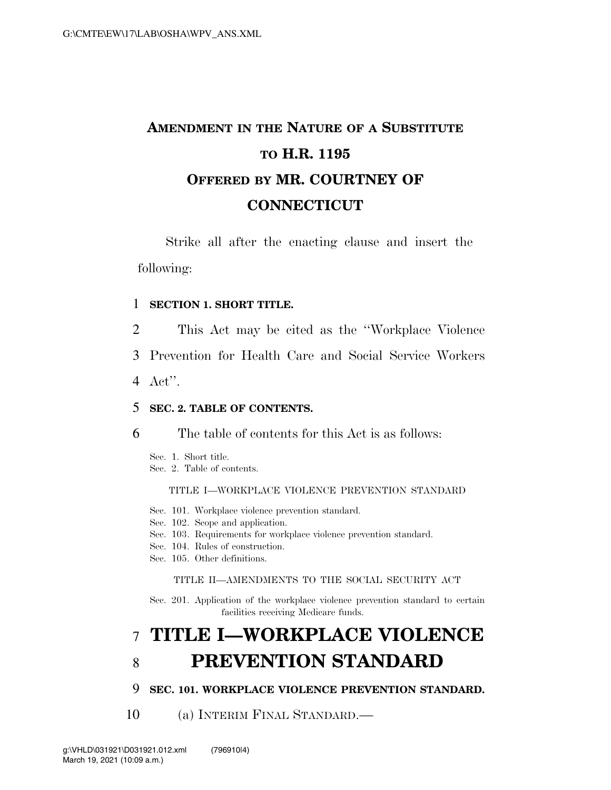# **AMENDMENT IN THE NATURE OF A SUBSTITUTE TO H.R. 1195 OFFERED BY MR. COURTNEY OF CONNECTICUT**

Strike all after the enacting clause and insert the following:

## 1 **SECTION 1. SHORT TITLE.**

- 2 This Act may be cited as the ''Workplace Violence
- 3 Prevention for Health Care and Social Service Workers
- 4 Act''.

### 5 **SEC. 2. TABLE OF CONTENTS.**

6 The table of contents for this Act is as follows:

Sec. 1. Short title. Sec. 2. Table of contents.

#### TITLE I—WORKPLACE VIOLENCE PREVENTION STANDARD

- Sec. 101. Workplace violence prevention standard.
- Sec. 102. Scope and application.
- Sec. 103. Requirements for workplace violence prevention standard.
- Sec. 104. Rules of construction.
- Sec. 105. Other definitions.

#### TITLE II—AMENDMENTS TO THE SOCIAL SECURITY ACT

Sec. 201. Application of the workplace violence prevention standard to certain facilities receiving Medicare funds.

## 7 **TITLE I—WORKPLACE VIOLENCE**  8 **PREVENTION STANDARD**

## 9 **SEC. 101. WORKPLACE VIOLENCE PREVENTION STANDARD.**

10 (a) INTERIM FINAL STANDARD.—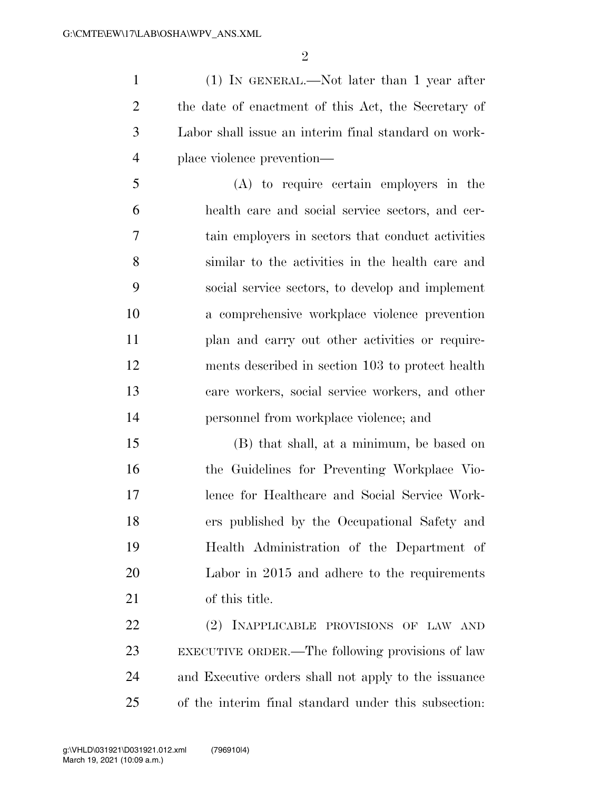(1) IN GENERAL.—Not later than 1 year after the date of enactment of this Act, the Secretary of Labor shall issue an interim final standard on work-place violence prevention—

 (A) to require certain employers in the health care and social service sectors, and cer- tain employers in sectors that conduct activities similar to the activities in the health care and social service sectors, to develop and implement a comprehensive workplace violence prevention 11 plan and carry out other activities or require- ments described in section 103 to protect health care workers, social service workers, and other personnel from workplace violence; and

 (B) that shall, at a minimum, be based on the Guidelines for Preventing Workplace Vio- lence for Healthcare and Social Service Work- ers published by the Occupational Safety and Health Administration of the Department of Labor in 2015 and adhere to the requirements of this title.

 (2) INAPPLICABLE PROVISIONS OF LAW AND EXECUTIVE ORDER.—The following provisions of law and Executive orders shall not apply to the issuance of the interim final standard under this subsection: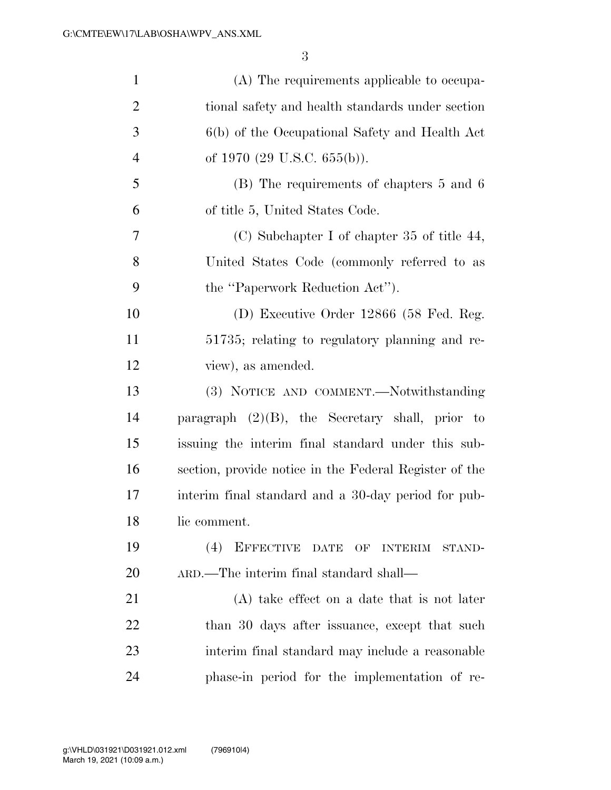| $\mathbf{1}$   | (A) The requirements applicable to occupa-             |
|----------------|--------------------------------------------------------|
| $\overline{2}$ | tional safety and health standards under section       |
| 3              | 6(b) of the Occupational Safety and Health Act         |
| $\overline{4}$ | of 1970 $(29 \text{ U.S.C. } 655(b))$ .                |
| 5              | (B) The requirements of chapters 5 and 6               |
| 6              | of title 5, United States Code.                        |
| 7              | (C) Subchapter I of chapter 35 of title $44$ ,         |
| 8              | United States Code (commonly referred to as            |
| 9              | the "Paperwork Reduction Act").                        |
| 10             | (D) Executive Order 12866 (58 Fed. Reg.                |
| 11             | 51735; relating to regulatory planning and re-         |
| 12             | view), as amended.                                     |
| 13             | (3) NOTICE AND COMMENT.—Notwithstanding                |
| 14             | paragraph $(2)(B)$ , the Secretary shall, prior to     |
| 15             | issuing the interim final standard under this sub-     |
| 16             | section, provide notice in the Federal Register of the |
| 17             | interim final standard and a 30-day period for pub-    |
| 18             | lic comment.                                           |
| 19             | (4)<br>EFFECTIVE DATE OF INTERIM<br>STAND-             |
| <b>20</b>      | ARD.—The interim final standard shall—                 |
| 21             | (A) take effect on a date that is not later            |
| 22             | than 30 days after issuance, except that such          |
| 23             | interim final standard may include a reasonable        |
| 24             | phase-in period for the implementation of re-          |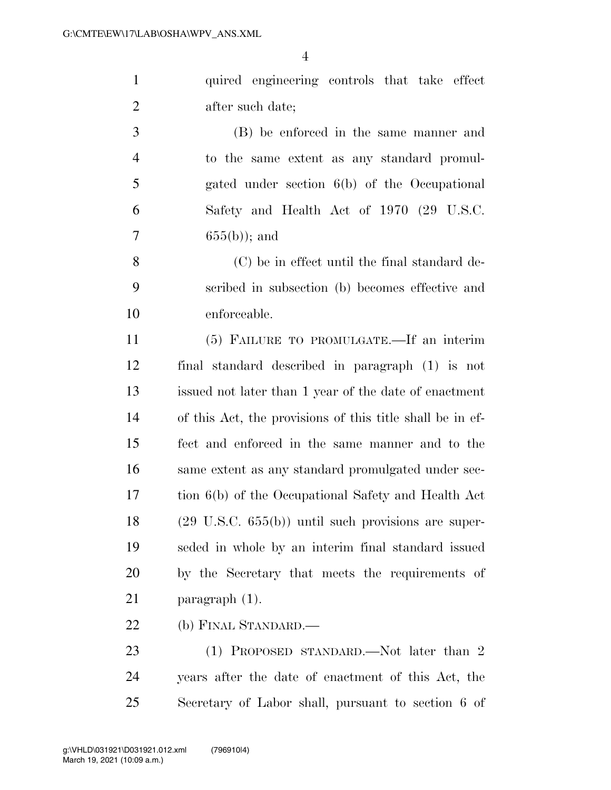|                | quired engineering controls that take effect |
|----------------|----------------------------------------------|
| 2              | after such date;                             |
| 3              | (B) be enforced in the same manner and       |
| $\overline{4}$ | to the same extent as any standard promul-   |

 gated under section 6(b) of the Occupational Safety and Health Act of 1970 (29 U.S.C. 7  $655(b)$ ; and

 (C) be in effect until the final standard de- scribed in subsection (b) becomes effective and enforceable.

 (5) FAILURE TO PROMULGATE.—If an interim final standard described in paragraph (1) is not issued not later than 1 year of the date of enactment of this Act, the provisions of this title shall be in ef- fect and enforced in the same manner and to the same extent as any standard promulgated under sec- tion 6(b) of the Occupational Safety and Health Act (29 U.S.C. 655(b)) until such provisions are super- seded in whole by an interim final standard issued by the Secretary that meets the requirements of paragraph (1).

(b) FINAL STANDARD.—

23 (1) PROPOSED STANDARD.—Not later than 2 years after the date of enactment of this Act, the Secretary of Labor shall, pursuant to section 6 of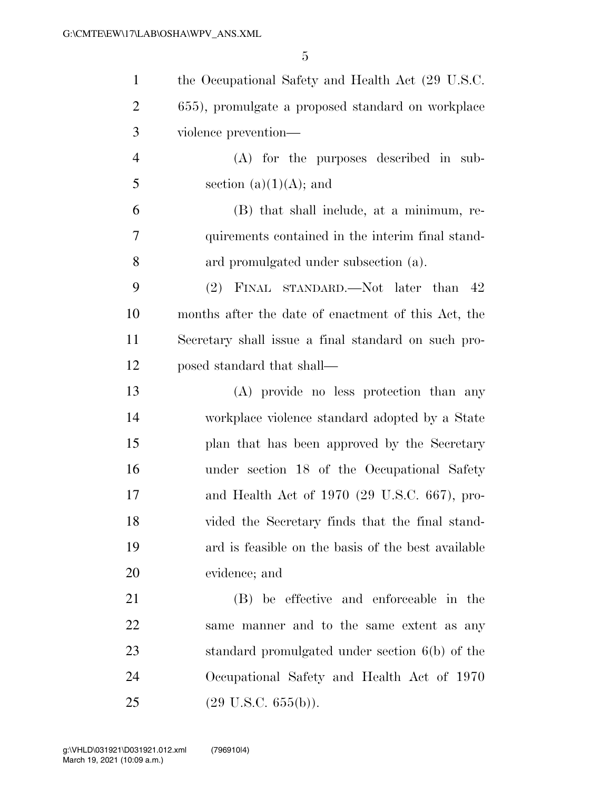| $\mathbf{1}$   | the Occupational Safety and Health Act (29 U.S.C.   |
|----------------|-----------------------------------------------------|
| $\overline{2}$ | 655), promulgate a proposed standard on workplace   |
| 3              | violence prevention—                                |
| $\overline{4}$ | $(A)$ for the purposes described in sub-            |
| 5              | section $(a)(1)(A)$ ; and                           |
| 6              | (B) that shall include, at a minimum, re-           |
| 7              | quirements contained in the interim final stand-    |
| 8              | ard promulgated under subsection (a).               |
| 9              | (2) FINAL STANDARD.—Not later than 42               |
| 10             | months after the date of enactment of this Act, the |
| 11             | Secretary shall issue a final standard on such pro- |
| 12             | posed standard that shall—                          |
| 13             | (A) provide no less protection than any             |
| 14             | workplace violence standard adopted by a State      |
| 15             | plan that has been approved by the Secretary        |
| 16             | under section 18 of the Occupational Safety         |
| 17             | and Health Act of 1970 (29 U.S.C. 667), pro-        |
| 18             | vided the Secretary finds that the final stand-     |
| 19             | ard is feasible on the basis of the best available  |
| 20             | evidence; and                                       |
| 21             | (B) be effective and enforceable in the             |
| 22             | same manner and to the same extent as any           |
| 23             | standard promulgated under section $6(b)$ of the    |
| 24             | Occupational Safety and Health Act of 1970          |
| 25             | $(29 \text{ U.S.C. } 655(b)).$                      |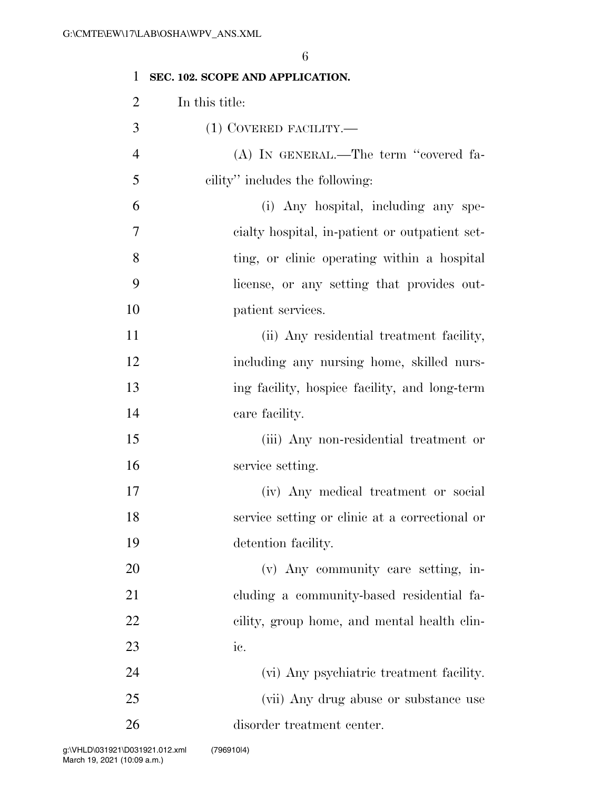| 1              | SEC. 102. SCOPE AND APPLICATION.               |
|----------------|------------------------------------------------|
| $\overline{2}$ | In this title:                                 |
| 3              | $(1)$ COVERED FACILITY.—                       |
| $\overline{4}$ | (A) IN GENERAL.—The term "covered fa-          |
| 5              | cility" includes the following:                |
| 6              | (i) Any hospital, including any spe-           |
| 7              | cialty hospital, in-patient or outpatient set- |
| 8              | ting, or clinic operating within a hospital    |
| 9              | license, or any setting that provides out-     |
| 10             | patient services.                              |
| 11             | (ii) Any residential treatment facility,       |
| 12             | including any nursing home, skilled nurs-      |
| 13             | ing facility, hospice facility, and long-term  |
| 14             | care facility.                                 |
| 15             | (iii) Any non-residential treatment or         |
| 16             | service setting.                               |
| 17             | (iv) Any medical treatment or social           |
| 18             | service setting or clinic at a correctional or |
| 19             | detention facility.                            |
| 20             | (v) Any community care setting, in-            |
| 21             | cluding a community-based residential fa-      |
| 22             | cility, group home, and mental health clin-    |
| 23             | ic.                                            |
| 24             | (vi) Any psychiatric treatment facility.       |
| 25             | (vii) Any drug abuse or substance use          |
| 26             | disorder treatment center.                     |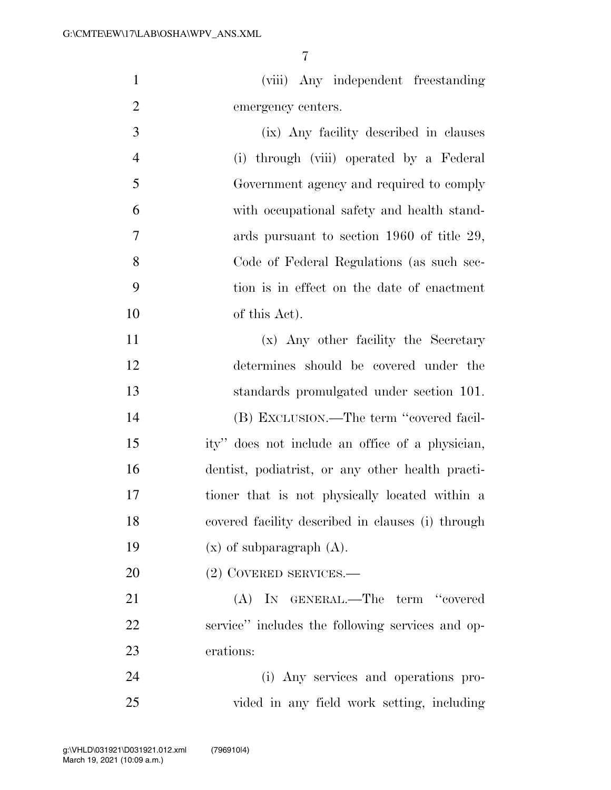(viii) Any independent freestanding emergency centers.

 (ix) Any facility described in clauses (i) through (viii) operated by a Federal Government agency and required to comply with occupational safety and health stand- ards pursuant to section 1960 of title 29, Code of Federal Regulations (as such sec- tion is in effect on the date of enactment of this Act).

 (x) Any other facility the Secretary determines should be covered under the standards promulgated under section 101. (B) EXCLUSION.—The term ''covered facil- ity'' does not include an office of a physician, dentist, podiatrist, or any other health practi- tioner that is not physically located within a covered facility described in clauses (i) through  $(x)$  of subparagraph  $(A)$ .

(2) COVERED SERVICES.—

 (A) IN GENERAL.—The term ''covered service'' includes the following services and op-erations:

 (i) Any services and operations pro-vided in any field work setting, including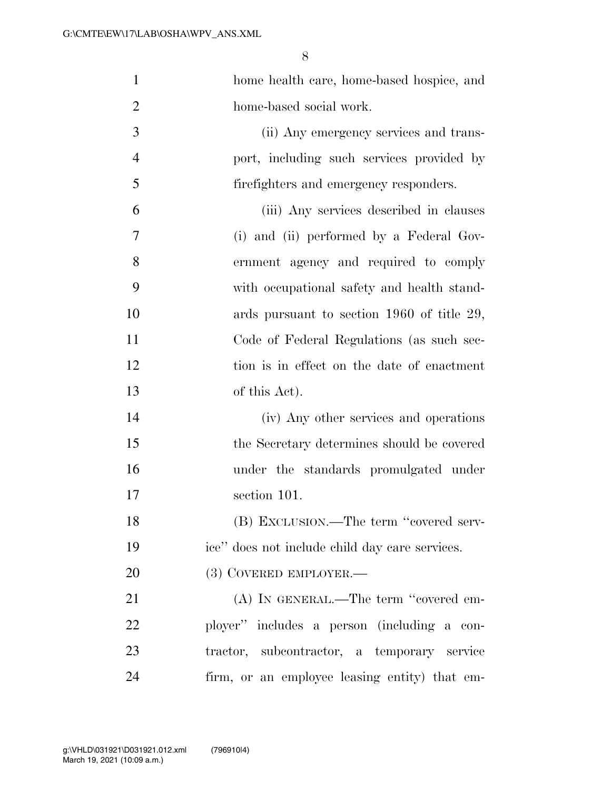| $\mathbf{1}$   | home health care, home-based hospice, and      |
|----------------|------------------------------------------------|
| $\overline{2}$ | home-based social work.                        |
| 3              | (ii) Any emergency services and trans-         |
| $\overline{4}$ | port, including such services provided by      |
| 5              | firefighters and emergency responders.         |
| 6              | (iii) Any services described in clauses        |
| 7              | (i) and (ii) performed by a Federal Gov-       |
| 8              | ernment agency and required to comply          |
| 9              | with occupational safety and health stand-     |
| 10             | ards pursuant to section 1960 of title 29,     |
| 11             | Code of Federal Regulations (as such sec-      |
| 12             | tion is in effect on the date of enactment     |
| 13             | of this Act).                                  |
| 14             | (iv) Any other services and operations         |
| 15             | the Secretary determines should be covered     |
| 16             | under the standards promulgated under          |
| 17             | section 101.                                   |
| 18             | (B) EXCLUSION.—The term "covered serv-         |
| 19             | ice" does not include child day care services. |
| 20             | (3) COVERED EMPLOYER.—                         |
| 21             | (A) IN GENERAL.—The term "covered em-          |
| 22             | ployer" includes a person (including a con-    |
| 23             | tractor, subcontractor, a temporary service    |
| 24             | firm, or an employee leasing entity) that em-  |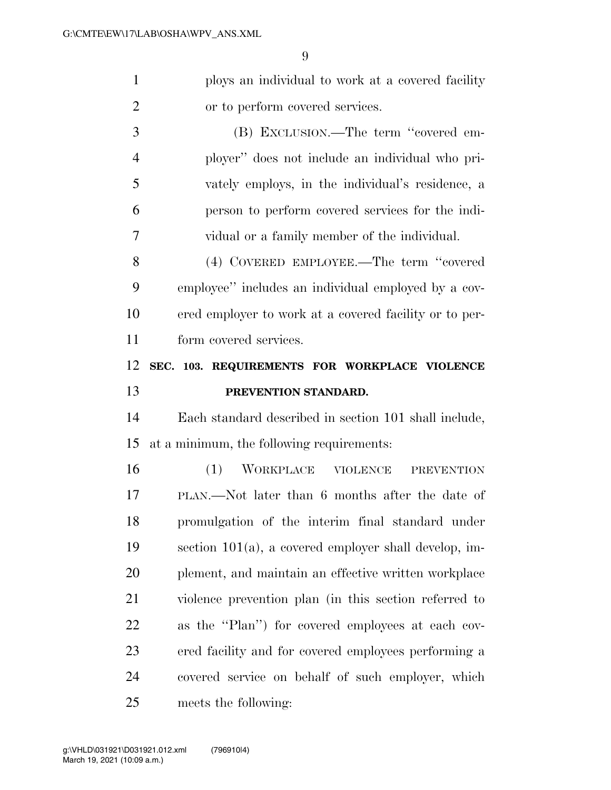$\Omega$ 

| $\mathbf{1}$ | ploys an individual to work at a covered facility        |
|--------------|----------------------------------------------------------|
| 2            | or to perform covered services.                          |
| 3            | (B) EXCLUSION.—The term "covered em-                     |
| 4            | ployer" does not include an individual who pri-          |
| 5            | vately employs, in the individual's residence, a         |
| 6            | person to perform covered services for the indi-         |
| 7            | vidual or a family member of the individual.             |
| 8            | (4) COVERED EMPLOYEE.—The term "covered                  |
| 9            | employee" includes an individual employed by a cov-      |
| 10           | ered employer to work at a covered facility or to per-   |
| 11           | form covered services.                                   |
| 12           | SEC. 103. REQUIREMENTS FOR WORKPLACE VIOLENCE            |
| 13           | PREVENTION STANDARD.                                     |
| 14           | Each standard described in section 101 shall include,    |
| 15           | at a minimum, the following requirements:                |
| 16           | WORKPLACE VIOLENCE<br>(1)<br><b>PREVENTION</b>           |
| 17           |                                                          |
|              | PLAN.—Not later than 6 months after the date of          |
| 18           | promulgation of the interim final standard under         |
| 19           | section $101(a)$ , a covered employer shall develop, im- |
| 20           | plement, and maintain an effective written workplace     |

as the ''Plan'') for covered employees at each cov-

ered facility and for covered employees performing a

covered service on behalf of such employer, which

meets the following: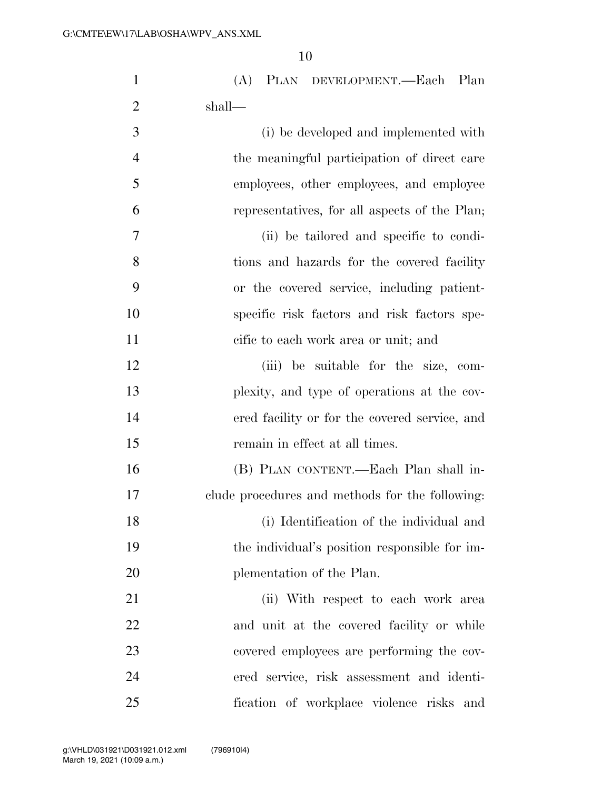| $\mathbf{1}$   | (A)<br>PLAN DEVELOPMENT.—Each Plan              |
|----------------|-------------------------------------------------|
| $\overline{2}$ | shall—                                          |
| 3              | (i) be developed and implemented with           |
| $\overline{4}$ | the meaningful participation of direct care     |
| 5              | employees, other employees, and employee        |
| 6              | representatives, for all aspects of the Plan;   |
| 7              | (ii) be tailored and specific to condi-         |
| 8              | tions and hazards for the covered facility      |
| 9              | or the covered service, including patient-      |
| 10             | specific risk factors and risk factors spe-     |
| 11             | cific to each work area or unit; and            |
| 12             | (iii) be suitable for the size, com-            |
| 13             | plexity, and type of operations at the cov-     |
| 14             | ered facility or for the covered service, and   |
| 15             | remain in effect at all times.                  |
| 16             | (B) PLAN CONTENT.—Each Plan shall in-           |
| 17             | clude procedures and methods for the following: |
| 18             | (i) Identification of the individual and        |
| 19             | the individual's position responsible for im-   |
| 20             | plementation of the Plan.                       |
| 21             | (ii) With respect to each work area             |
| 22             | and unit at the covered facility or while       |
| 23             | covered employees are performing the cov-       |
| 24             | ered service, risk assessment and identi-       |
| 25             | fication of workplace violence risks and        |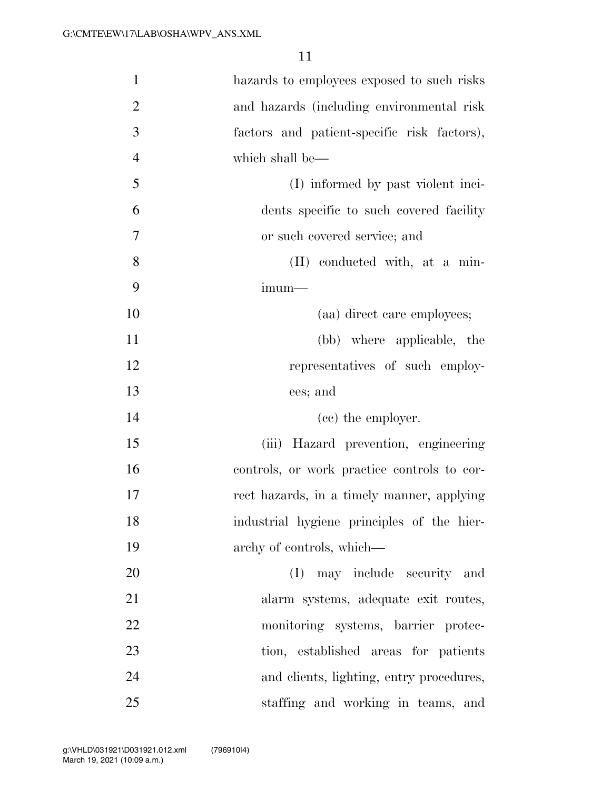| $\mathbf{1}$   | hazards to employees exposed to such risks  |
|----------------|---------------------------------------------|
| $\overline{2}$ | and hazards (including environmental risk   |
| 3              | factors and patient-specific risk factors), |
| $\overline{4}$ | which shall be—                             |
| 5              | (I) informed by past violent inci-          |
| 6              | dents specific to such covered facility     |
| 7              | or such covered service; and                |
| 8              | (II) conducted with, at a min-              |
| 9              | imum—                                       |
| 10             | (aa) direct care employees;                 |
| 11             | (bb) where applicable, the                  |
| 12             | representatives of such employ-             |
| 13             | ees; and                                    |
| 14             | (cc) the employer.                          |
| 15             | (iii) Hazard prevention, engineering        |
| 16             | controls, or work practice controls to cor- |
| 17             | rect hazards, in a timely manner, applying  |
| 18             | industrial hygiene principles of the hier-  |
| 19             | archy of controls, which—                   |
| 20             | may include security and<br>(I)             |
| 21             | alarm systems, adequate exit routes,        |
| 22             | monitoring systems, barrier protec-         |
| 23             | tion, established areas for patients        |
| 24             | and clients, lighting, entry procedures,    |
| 25             | staffing and working in teams, and          |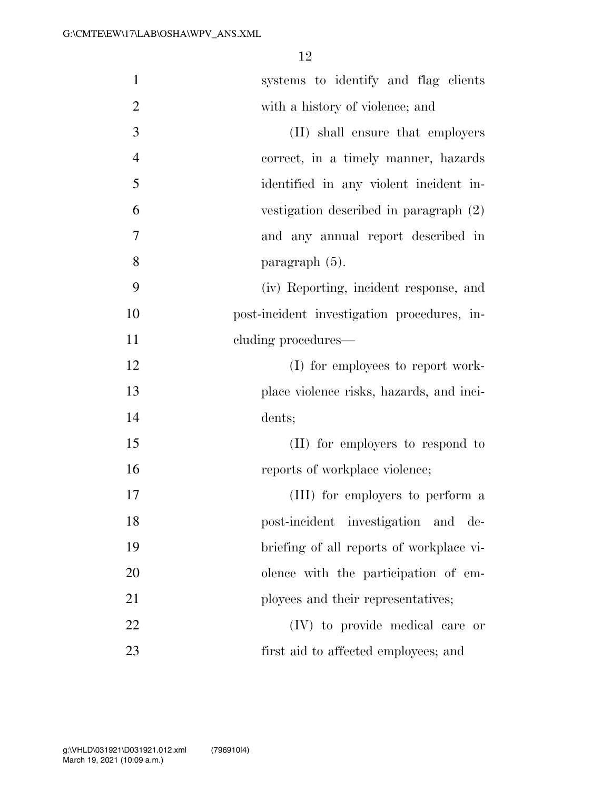| $\mathbf{1}$   | systems to identify and flag clients        |
|----------------|---------------------------------------------|
| $\overline{2}$ | with a history of violence; and             |
| 3              | (II) shall ensure that employers            |
| $\overline{4}$ | correct, in a timely manner, hazards        |
| 5              | identified in any violent incident in-      |
| 6              | vestigation described in paragraph (2)      |
| 7              | and any annual report described in          |
| 8              | paragraph (5).                              |
| 9              | (iv) Reporting, incident response, and      |
| 10             | post-incident investigation procedures, in- |
| 11             | cluding procedures—                         |
| 12             | (I) for employees to report work-           |
| 13             | place violence risks, hazards, and inci-    |
| 14             | dents;                                      |
| 15             | (II) for employers to respond to            |
| 16             | reports of workplace violence;              |
| 17             | (III) for employers to perform a            |
| 18             | post-incident investigation and de-         |
| 19             | briefing of all reports of workplace vi-    |
| 20             | olence with the participation of em-        |
| 21             | ployees and their representatives;          |
| 22             | (IV) to provide medical care or             |
| 23             | first aid to affected employees; and        |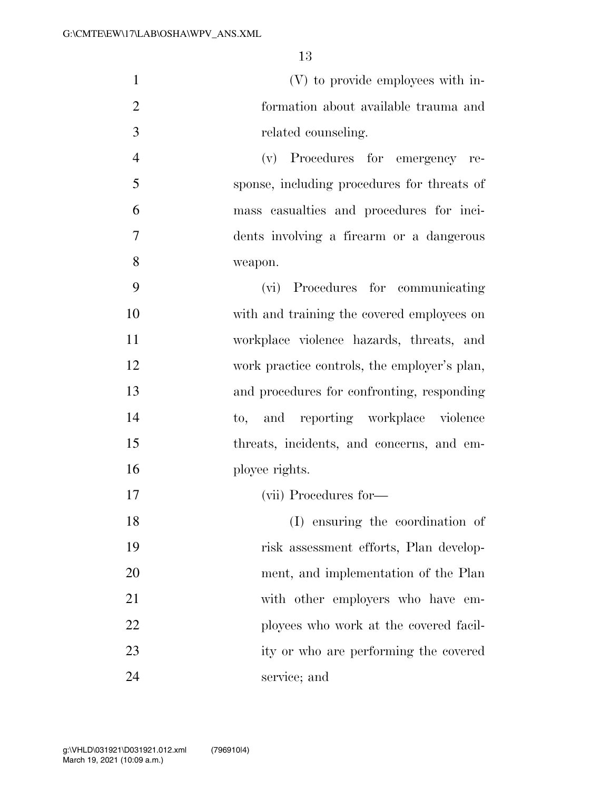| $\mathbf{1}$   | (V) to provide employees with in-            |
|----------------|----------------------------------------------|
| $\overline{2}$ | formation about available trauma and         |
| 3              | related counseling.                          |
| $\overline{4}$ | (v) Procedures for emergency re-             |
| 5              | sponse, including procedures for threats of  |
| 6              | mass casualties and procedures for inci-     |
| 7              | dents involving a firearm or a dangerous     |
| $8\,$          | weapon.                                      |
| 9              | (vi) Procedures for communicating            |
| 10             | with and training the covered employees on   |
| 11             | workplace violence hazards, threats, and     |
| 12             | work practice controls, the employer's plan, |
| 13             | and procedures for confronting, responding   |
| 14             | to, and reporting workplace violence         |
| 15             | threats, incidents, and concerns, and em-    |
| 16             | ployee rights.                               |
| 17             | (vii) Procedures for-                        |
| 18             | (I) ensuring the coordination of             |
| 19             | risk assessment efforts, Plan develop-       |
| 20             | ment, and implementation of the Plan         |
| 21             | with other employers who have em-            |
| 22             | ployees who work at the covered facil-       |
| 23             | ity or who are performing the covered        |
| 24             | service; and                                 |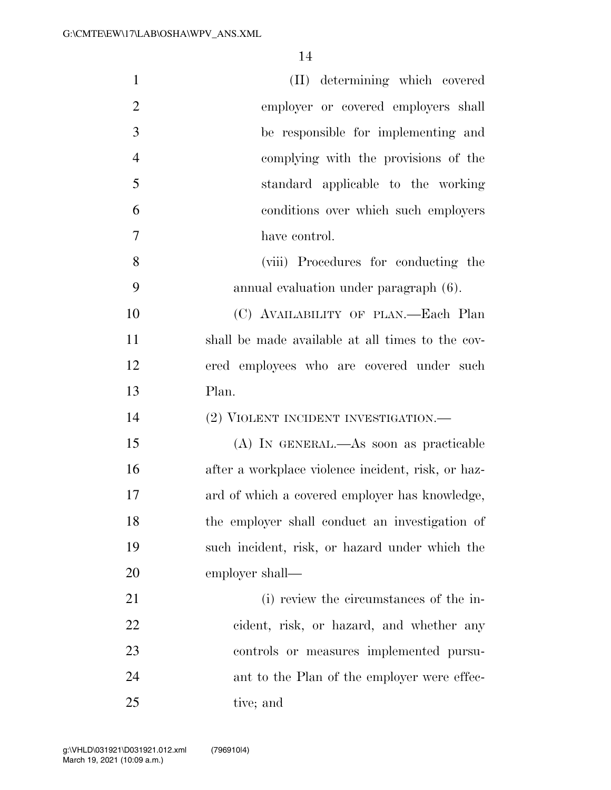| $\mathbf{1}$   | (II) determining which covered                     |
|----------------|----------------------------------------------------|
| $\overline{2}$ | employer or covered employers shall                |
| 3              | be responsible for implementing and                |
| $\overline{4}$ | complying with the provisions of the               |
| 5              | standard applicable to the working                 |
| 6              | conditions over which such employers               |
| 7              | have control.                                      |
| 8              | (viii) Procedures for conducting the               |
| 9              | annual evaluation under paragraph (6).             |
| 10             | (C) AVAILABILITY OF PLAN.—Each Plan                |
| 11             | shall be made available at all times to the cov-   |
| 12             | ered employees who are covered under such          |
| 13             | Plan.                                              |
| 14             | (2) VIOLENT INCIDENT INVESTIGATION.—               |
| 15             | (A) IN GENERAL.—As soon as practicable             |
| 16             | after a workplace violence incident, risk, or haz- |
| 17             | ard of which a covered employer has knowledge,     |
| 18             | the employer shall conduct an investigation of     |
| 19             | such incident, risk, or hazard under which the     |
| 20             | employer shall—                                    |
| 21             | (i) review the circumstances of the in-            |
| 22             | cident, risk, or hazard, and whether any           |
| 23             | controls or measures implemented pursu-            |
| 24             | ant to the Plan of the employer were effec-        |
| 25             | tive; and                                          |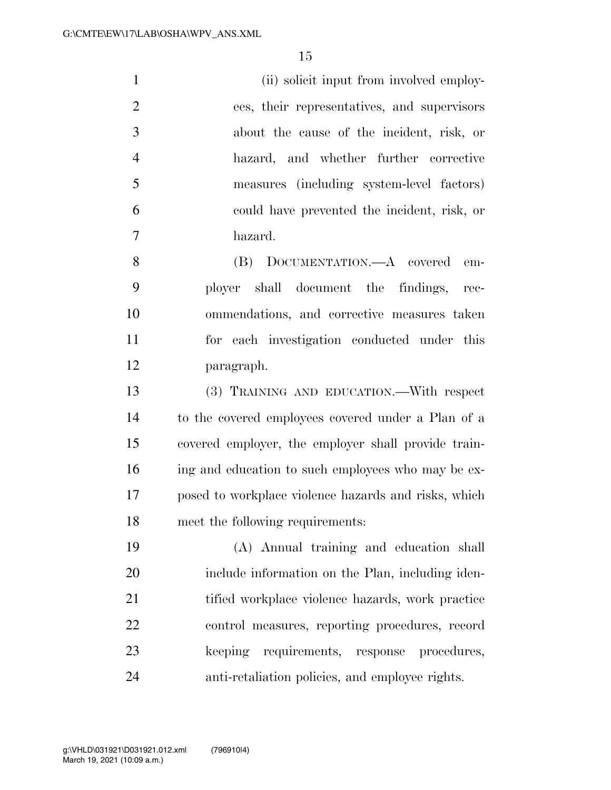| $\mathbf{1}$   | (ii) solicit input from involved employ-    |
|----------------|---------------------------------------------|
| 2              | ees, their representatives, and supervisors |
| 3              | about the cause of the incident, risk, or   |
| $\overline{4}$ | hazard, and whether further corrective      |
| 5              | measures (including system-level factors)   |
| 6              | could have prevented the incident, risk, or |
| 7              | hazard.                                     |
| 8              | (B) DOCUMENTATION.—A covered em-            |
| 9              | ployer shall document the findings, rec-    |
| 10             | ommendations and corrective measures taken  |

 ommendations, and corrective measures taken for each investigation conducted under this paragraph.

 (3) TRAINING AND EDUCATION.—With respect to the covered employees covered under a Plan of a covered employer, the employer shall provide train- ing and education to such employees who may be ex- posed to workplace violence hazards and risks, which meet the following requirements:

 (A) Annual training and education shall 20 include information on the Plan, including iden-21 tified workplace violence hazards, work practice control measures, reporting procedures, record keeping requirements, response procedures, anti-retaliation policies, and employee rights.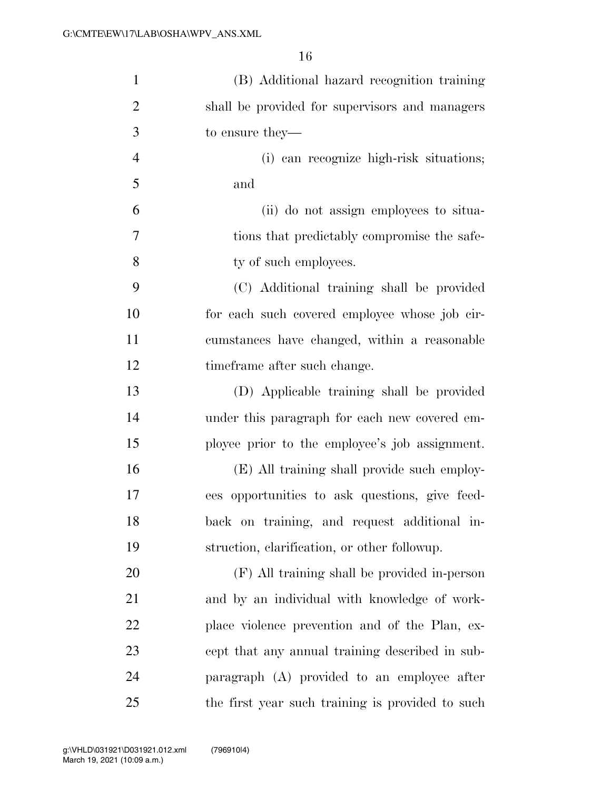| $\mathbf{1}$   | (B) Additional hazard recognition training       |
|----------------|--------------------------------------------------|
| $\overline{2}$ | shall be provided for supervisors and managers   |
| 3              | to ensure they—                                  |
| $\overline{4}$ | (i) can recognize high-risk situations;          |
| 5              | and                                              |
| 6              | (ii) do not assign employees to situa-           |
| 7              | tions that predictably compromise the safe-      |
| 8              | ty of such employees.                            |
| 9              | (C) Additional training shall be provided        |
| 10             | for each such covered employee whose job cir-    |
| 11             | cumstances have changed, within a reasonable     |
| 12             | time frame after such change.                    |
| 13             | (D) Applicable training shall be provided        |
| 14             | under this paragraph for each new covered em-    |
| 15             | ployee prior to the employee's job assignment.   |
| 16             | (E) All training shall provide such employ-      |
| 17             | ees opportunities to ask questions, give feed-   |
| 18             | back on training, and request additional in-     |
| 19             | struction, clarification, or other followup.     |
| 20             | (F) All training shall be provided in-person     |
| 21             | and by an individual with knowledge of work-     |
| 22             | place violence prevention and of the Plan, ex-   |
| 23             | cept that any annual training described in sub-  |
| 24             | paragraph (A) provided to an employee after      |
| 25             | the first year such training is provided to such |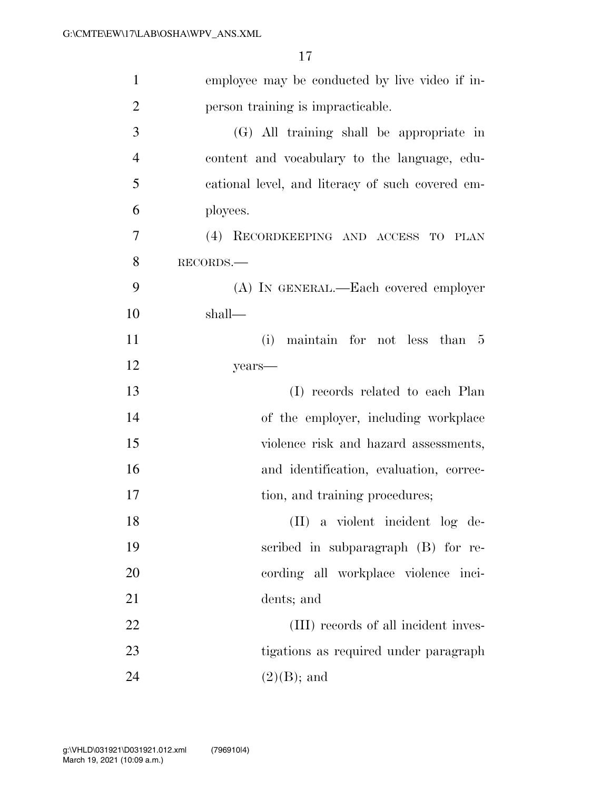| $\mathbf{1}$   | employee may be conducted by live video if in-   |
|----------------|--------------------------------------------------|
| $\overline{2}$ | person training is impracticable.                |
| 3              | (G) All training shall be appropriate in         |
| $\overline{4}$ | content and vocabulary to the language, edu-     |
| 5              | cational level, and literacy of such covered em- |
| 6              | ployees.                                         |
| $\tau$         | (4) RECORDKEEPING AND ACCESS TO PLAN             |
| 8              | RECORDS.                                         |
| 9              | (A) IN GENERAL.—Each covered employer            |
| 10             | shall—                                           |
| 11             | (i)<br>maintain for not less than 5              |
| 12             | years-                                           |
| 13             | (I) records related to each Plan                 |
| 14             | of the employer, including workplace             |
| 15             | violence risk and hazard assessments,            |
| 16             | and identification, evaluation, correc-          |
| 17             | tion, and training procedures;                   |
| 18             | (II) a violent incident log de-                  |
| 19             | scribed in subparagraph (B) for re-              |
| 20             | cording all workplace violence inci-             |
| 21             | dents; and                                       |
| 22             | (III) records of all incident inves-             |
| 23             | tigations as required under paragraph            |
| 24             | $(2)(B)$ ; and                                   |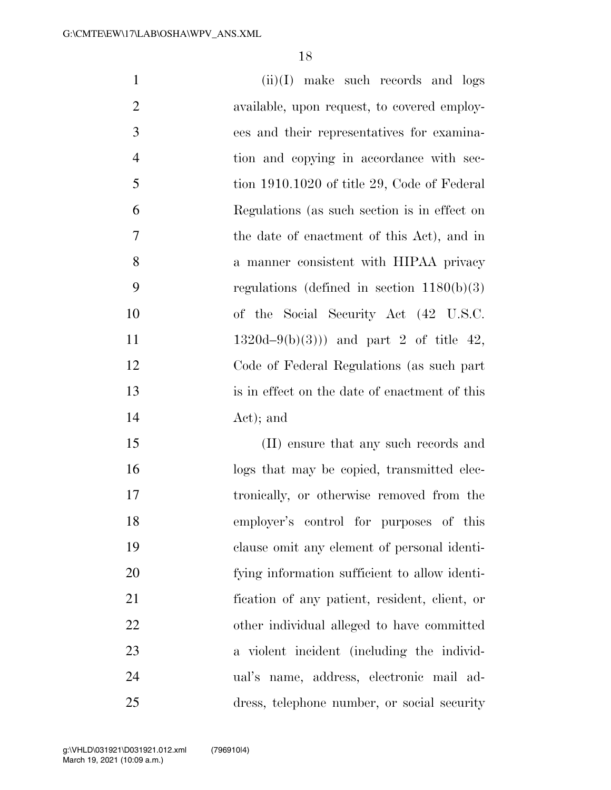| $\mathbf{1}$   | $(ii)(I)$ make such records and logs           |
|----------------|------------------------------------------------|
| $\overline{2}$ | available, upon request, to covered employ-    |
| 3              | ees and their representatives for examina-     |
| $\overline{4}$ | tion and copying in accordance with sec-       |
| 5              | tion 1910.1020 of title 29, Code of Federal    |
| 6              | Regulations (as such section is in effect on   |
| 7              | the date of enactment of this Act), and in     |
| 8              | a manner consistent with HIPAA privacy         |
| 9              | regulations (defined in section $1180(b)(3)$ ) |
| 10             | of the Social Security Act (42 U.S.C.          |
| 11             | $1320d-9(b)(3)$ and part 2 of title 42,        |
| 12             | Code of Federal Regulations (as such part      |
| 13             | is in effect on the date of enactment of this  |
| 14             | Act); and                                      |
| 15             | (II) ensure that any such records and          |
| 16             | logs that may be copied, transmitted elec-     |
| 17             | tronically, or otherwise removed from the      |
| 18             | employer's control for purposes of this        |
| 19             | clause omit any element of personal identi-    |
| 20             | fying information sufficient to allow identi-  |
| 21             | fication of any patient, resident, client, or  |
| 22             | other individual alleged to have committed     |
| 23             | a violent incident (including the individ-     |

 ual's name, address, electronic mail ad-dress, telephone number, or social security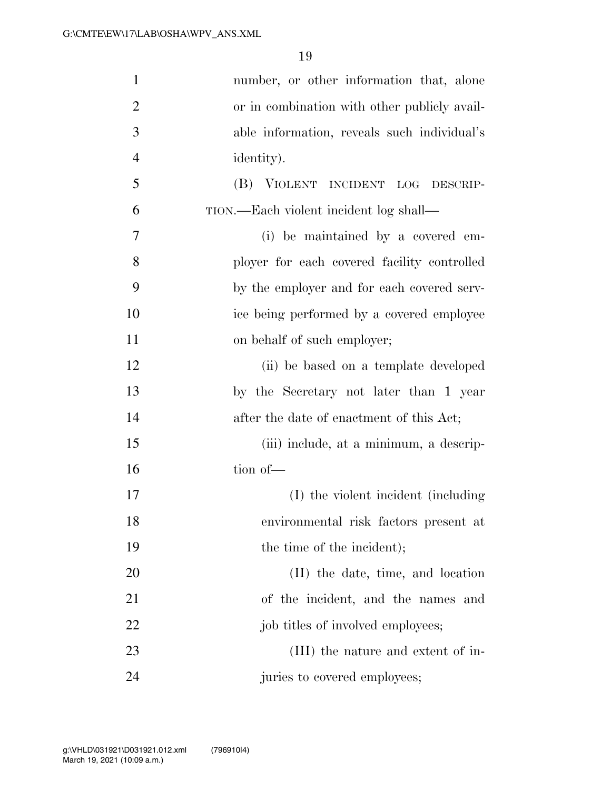| $\mathbf{1}$   | number, or other information that, alone     |
|----------------|----------------------------------------------|
| $\overline{2}$ | or in combination with other publicly avail- |
| 3              | able information, reveals such individual's  |
| $\overline{4}$ | identity).                                   |
| 5              | (B) VIOLENT INCIDENT LOG DESCRIP-            |
| 6              | TION.—Each violent incident log shall—       |
| 7              | (i) be maintained by a covered em-           |
| 8              | ployer for each covered facility controlled  |
| 9              | by the employer and for each covered serv-   |
| 10             | ice being performed by a covered employee    |
| 11             | on behalf of such employer;                  |
| 12             | (ii) be based on a template developed        |
| 13             | by the Secretary not later than 1 year       |
| 14             | after the date of enactment of this Act;     |
| 15             | (iii) include, at a minimum, a descrip-      |
| 16             | tion of-                                     |
| 17             | (I) the violent incident (including          |
| 18             | environmental risk factors present at        |
| 19             | the time of the incident);                   |
| 20             | (II) the date, time, and location            |
| 21             | of the incident, and the names and           |
| 22             | job titles of involved employees;            |
| 23             | (III) the nature and extent of in-           |
| 24             | juries to covered employees;                 |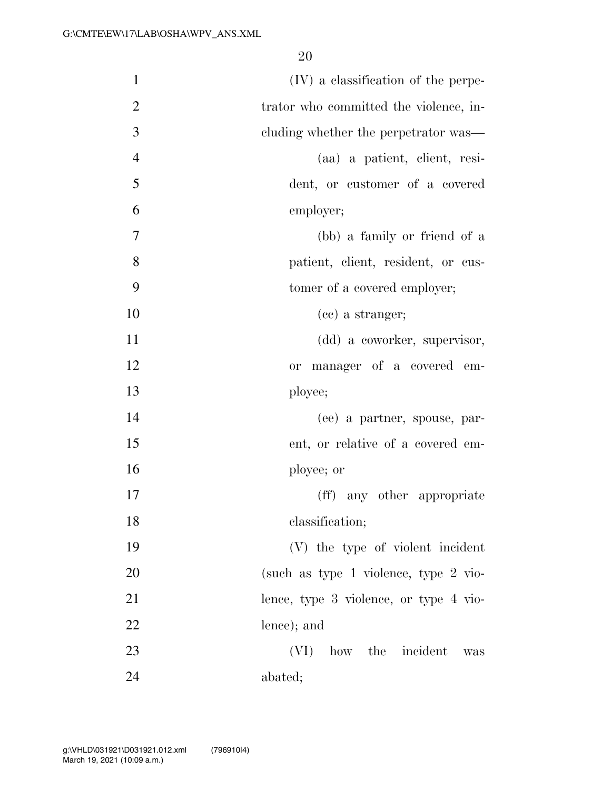| $\mathbf{1}$   | (IV) a classification of the perpe-    |
|----------------|----------------------------------------|
| $\overline{2}$ | trator who committed the violence, in- |
| 3              | cluding whether the perpetrator was—   |
| $\overline{4}$ | (aa) a patient, client, resi-          |
| 5              | dent, or customer of a covered         |
| 6              | employer;                              |
| 7              | (bb) a family or friend of a           |
| 8              | patient, client, resident, or cus-     |
| 9              | tomer of a covered employer;           |
| 10             | (cc) a stranger;                       |
| 11             | (dd) a coworker, supervisor,           |
| 12             | or manager of a covered em-            |
| 13             | ployee;                                |
| 14             | (ee) a partner, spouse, par-           |
| 15             | ent, or relative of a covered em-      |
| 16             | ployee; or                             |
| 17             | (ff) any other appropriate             |
| 18             | classification;                        |
| 19             | (V) the type of violent incident       |
| 20             | (such as type 1 violence, type 2 vio-  |
| 21             | lence, type 3 violence, or type 4 vio- |
| 22             | lence); and                            |
| 23             | how the incident<br>(VI)<br>was        |
| 24             | abated;                                |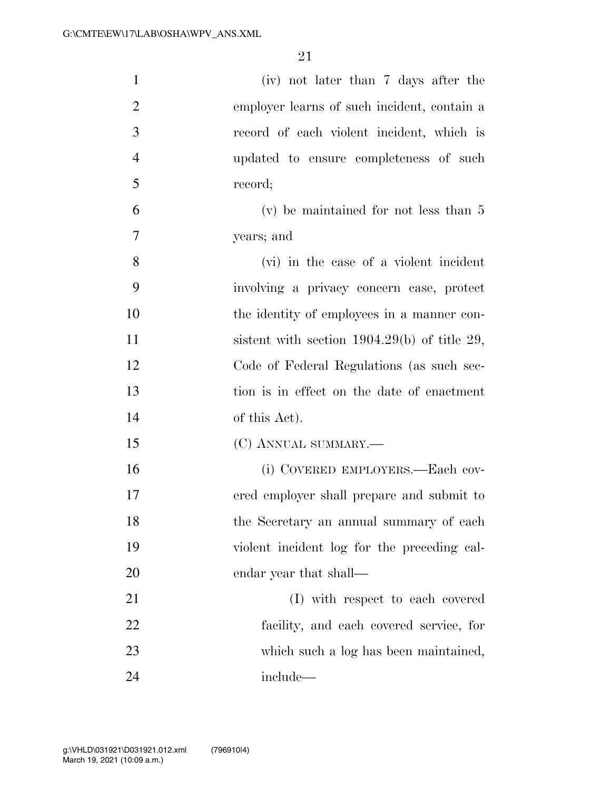| $\mathbf{1}$   | (iv) not later than 7 days after the           |
|----------------|------------------------------------------------|
| $\overline{2}$ | employer learns of such incident, contain a    |
| 3              | record of each violent incident, which is      |
| $\overline{4}$ | updated to ensure completeness of such         |
| 5              | record;                                        |
| 6              | $(v)$ be maintained for not less than 5        |
| $\overline{7}$ | years; and                                     |
| 8              | (vi) in the case of a violent incident         |
| 9              | involving a privacy concern case, protect      |
| 10             | the identity of employees in a manner con-     |
| 11             | sistent with section $1904.29(b)$ of title 29, |
| 12             | Code of Federal Regulations (as such sec-      |
| 13             | tion is in effect on the date of enactment     |
| 14             | of this Act).                                  |
| 15             | (C) ANNUAL SUMMARY.-                           |
| 16             | (i) COVERED EMPLOYERS.—Each cov-               |
| 17             | ered employer shall prepare and submit to      |
| 18             | the Secretary an annual summary of each        |
| 19             | violent incident log for the preceding cal-    |
| 20             | endar year that shall—                         |
| 21             | (I) with respect to each covered               |
| 22             | facility, and each covered service, for        |
| 23             | which such a log has been maintained,          |
| 24             | include—                                       |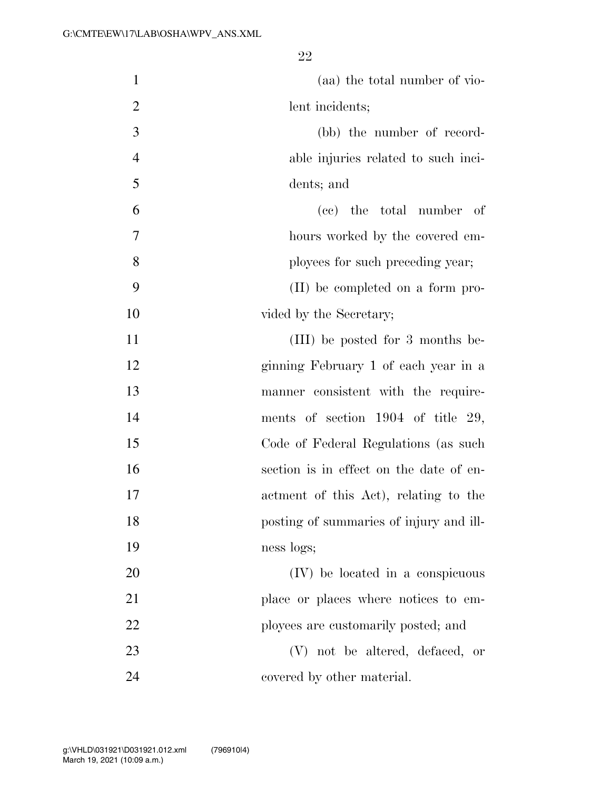| $\mathbf{1}$   | (aa) the total number of vio-           |
|----------------|-----------------------------------------|
| $\overline{2}$ | lent incidents;                         |
| 3              | (bb) the number of record-              |
| $\overline{4}$ | able injuries related to such inci-     |
| 5              | dents; and                              |
| 6              | (cc) the total number of                |
| 7              | hours worked by the covered em-         |
| 8              | ployees for such preceding year;        |
| 9              | (II) be completed on a form pro-        |
| 10             | vided by the Secretary;                 |
| 11             | (III) be posted for 3 months be-        |
| 12             | ginning February 1 of each year in a    |
| 13             | manner consistent with the require-     |
| 14             | ments of section $1904$ of title 29,    |
| 15             | Code of Federal Regulations (as such    |
| 16             | section is in effect on the date of en- |
| 17             | actment of this Act), relating to the   |
| 18             | posting of summaries of injury and ill- |
| 19             | ness logs;                              |
| 20             | (IV) be located in a conspicuous        |
| 21             | place or places where notices to em-    |
| 22             | ployees are customarily posted; and     |
| 23             | (V) not be altered, defaced, or         |
| 24             | covered by other material.              |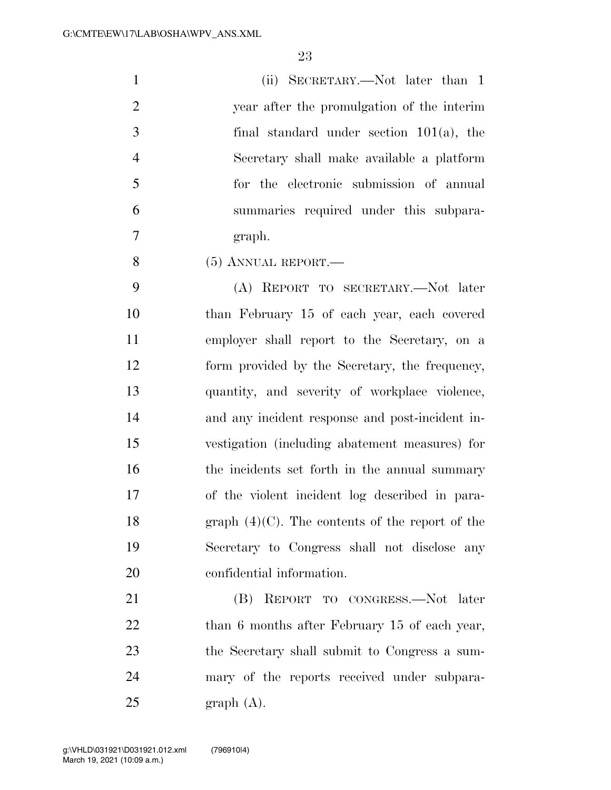(ii) SECRETARY.—Not later than 1 year after the promulgation of the interim final standard under section 101(a), the Secretary shall make available a platform for the electronic submission of annual summaries required under this subpara-graph.

(5) ANNUAL REPORT.—

 (A) REPORT TO SECRETARY.—Not later than February 15 of each year, each covered employer shall report to the Secretary, on a form provided by the Secretary, the frequency, quantity, and severity of workplace violence, and any incident response and post-incident in- vestigation (including abatement measures) for 16 the incidents set forth in the annual summary of the violent incident log described in para-18 graph  $(4)(C)$ . The contents of the report of the Secretary to Congress shall not disclose any confidential information.

 (B) REPORT TO CONGRESS.—Not later 22 than 6 months after February 15 of each year, the Secretary shall submit to Congress a sum- mary of the reports received under subpara-graph  $(A)$ .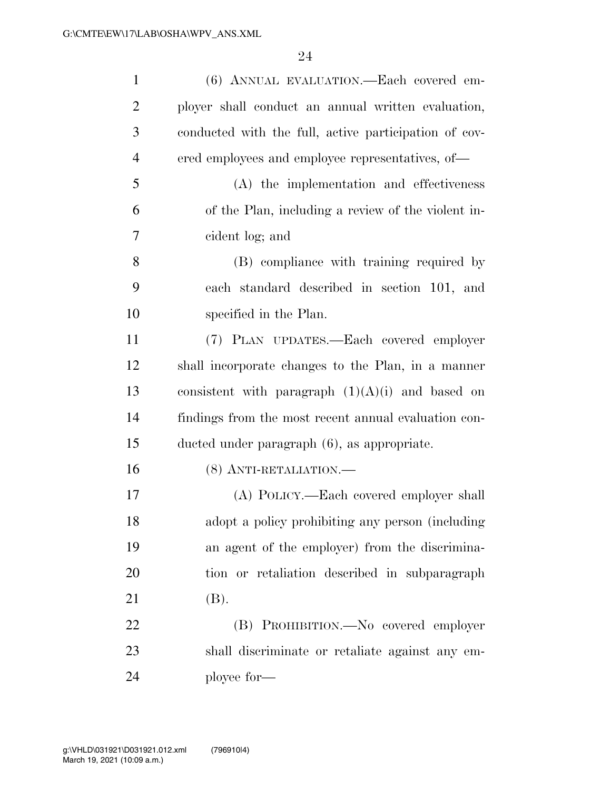| $\mathbf{1}$   | (6) ANNUAL EVALUATION.—Each covered em-               |
|----------------|-------------------------------------------------------|
| $\overline{2}$ | ployer shall conduct an annual written evaluation,    |
| 3              | conducted with the full, active participation of cov- |
| $\overline{4}$ | ered employees and employee representatives, of—      |
| 5              | (A) the implementation and effectiveness              |
| 6              | of the Plan, including a review of the violent in-    |
| 7              | cident log; and                                       |
| 8              | (B) compliance with training required by              |
| 9              | each standard described in section 101, and           |
| 10             | specified in the Plan.                                |
| 11             | (7) PLAN UPDATES.—Each covered employer               |
| 12             | shall incorporate changes to the Plan, in a manner    |
| 13             | consistent with paragraph $(1)(A)(i)$ and based on    |
| 14             | findings from the most recent annual evaluation con-  |
| 15             | ducted under paragraph (6), as appropriate.           |
| 16             | (8) ANTI-RETALIATION.-                                |
| 17             | (A) POLICY.—Each covered employer shall               |
| 18             | adopt a policy prohibiting any person (including      |
| 19             | an agent of the employer) from the discrimina-        |
| 20             | tion or retaliation described in subparagraph         |
| 21             | (B).                                                  |
| 22             | (B) PROHIBITION.—No covered employer                  |
| 23             | shall discriminate or retaliate against any em-       |
| 24             | ployee for—                                           |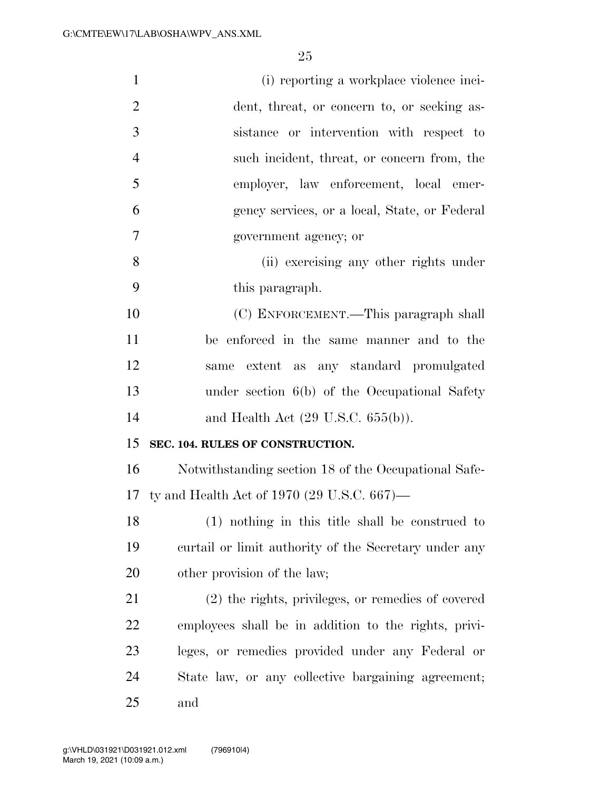| $\mathbf{1}$   | (i) reporting a workplace violence inci-              |
|----------------|-------------------------------------------------------|
| $\overline{2}$ | dent, threat, or concern to, or seeking as-           |
| 3              | sistance or intervention with respect to              |
| $\overline{4}$ | such incident, threat, or concern from, the           |
| 5              | employer, law enforcement, local emer-                |
| 6              | gency services, or a local, State, or Federal         |
| 7              | government agency; or                                 |
| 8              | (ii) exercising any other rights under                |
| 9              | this paragraph.                                       |
| 10             | (C) ENFORCEMENT.—This paragraph shall                 |
| 11             | be enforced in the same manner and to the             |
| 12             | extent as any standard promulgated<br>same            |
| 13             | under section $6(b)$ of the Occupational Safety       |
| 14             | and Health Act $(29 \text{ U.S.C. } 655(b))$ .        |
| 15             | SEC. 104. RULES OF CONSTRUCTION.                      |
| 16             | Notwithstanding section 18 of the Occupational Safe-  |
| 17             | ty and Health Act of 1970 (29 U.S.C. $667$ )—         |
| 18             | (1) nothing in this title shall be construed to       |
| 19             | curtail or limit authority of the Secretary under any |
| 20             | other provision of the law;                           |
| 21             | (2) the rights, privileges, or remedies of covered    |
| 22             | employees shall be in addition to the rights, privi-  |
| 23             | leges, or remedies provided under any Federal or      |
| 24             | State law, or any collective bargaining agreement;    |
| 25             | and                                                   |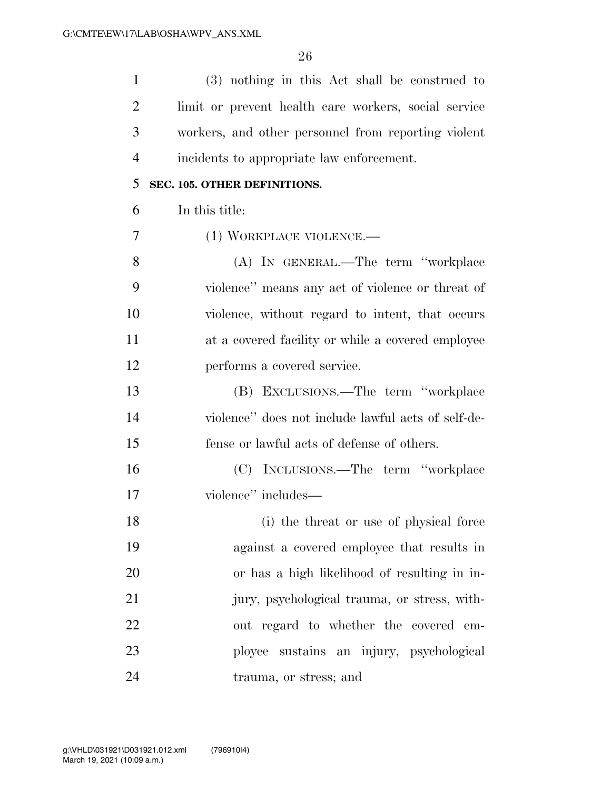| $\mathbf{1}$   | (3) nothing in this Act shall be construed to        |
|----------------|------------------------------------------------------|
| $\overline{2}$ | limit or prevent health care workers, social service |
| 3              | workers, and other personnel from reporting violent  |
| $\overline{4}$ | incidents to appropriate law enforcement.            |
| 5              | SEC. 105. OTHER DEFINITIONS.                         |
| 6              | In this title:                                       |
| 7              | (1) WORKPLACE VIOLENCE.—                             |
| 8              | (A) IN GENERAL.—The term "workplace                  |
| 9              | violence" means any act of violence or threat of     |
| 10             | violence, without regard to intent, that occurs      |
| 11             | at a covered facility or while a covered employee    |
| 12             | performs a covered service.                          |
| 13             | (B) EXCLUSIONS.—The term "workplace                  |
| 14             | violence" does not include lawful acts of self-de-   |
| 15             | fense or lawful acts of defense of others.           |
| 16             | (C) INCLUSIONS.—The term "workplace                  |
| 17             | violence" includes—                                  |
| 18             | (i) the threat or use of physical force              |
| 19             | against a covered employee that results in           |
| 20             | or has a high likelihood of resulting in in-         |
| 21             | jury, psychological trauma, or stress, with-         |
| 22             | out regard to whether the covered em-                |
| 23             | ployee sustains an injury, psychological             |
| 24             | trauma, or stress; and                               |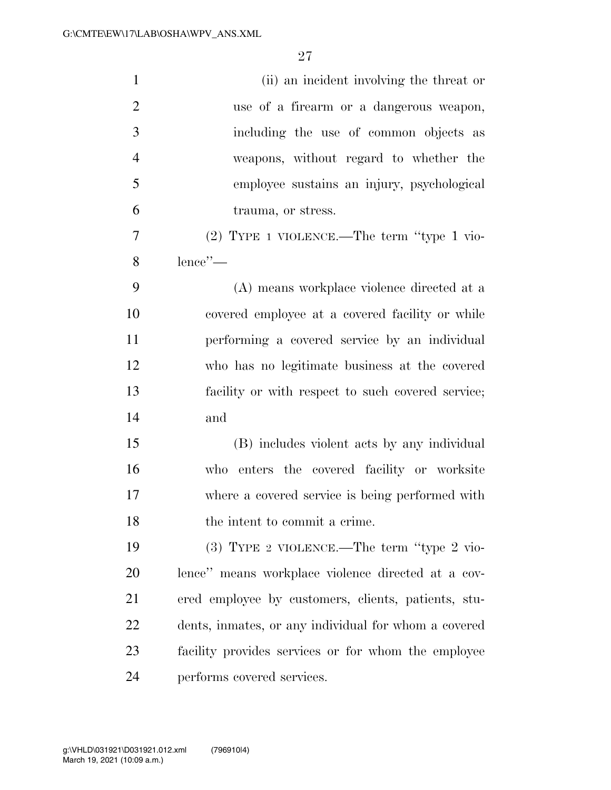| $\mathbf{1}$   | (ii) an incident involving the threat or             |
|----------------|------------------------------------------------------|
| $\overline{2}$ | use of a firearm or a dangerous weapon,              |
| 3              | including the use of common objects as               |
| $\overline{4}$ | weapons, without regard to whether the               |
| 5              | employee sustains an injury, psychological           |
| 6              | trauma, or stress.                                   |
| 7              | $(2)$ TYPE 1 VIOLENCE.—The term "type 1 vio-         |
| 8              | lence"-                                              |
| 9              | (A) means workplace violence directed at a           |
| 10             | covered employee at a covered facility or while      |
| 11             | performing a covered service by an individual        |
| 12             | who has no legitimate business at the covered        |
| 13             | facility or with respect to such covered service;    |
| 14             | and                                                  |
| 15             | (B) includes violent acts by any individual          |
| 16             | who enters the covered facility or worksite          |
| 17             | where a covered service is being performed with      |
| 18             | the intent to commit a crime.                        |
| 19             | $(3)$ TYPE 2 VIOLENCE.—The term "type 2 vio-         |
| 20             | lence" means workplace violence directed at a cov-   |
| 21             | ered employee by customers, clients, patients, stu-  |
| <u>22</u>      | dents, inmates, or any individual for whom a covered |
| 23             | facility provides services or for whom the employee  |
| 24             | performs covered services.                           |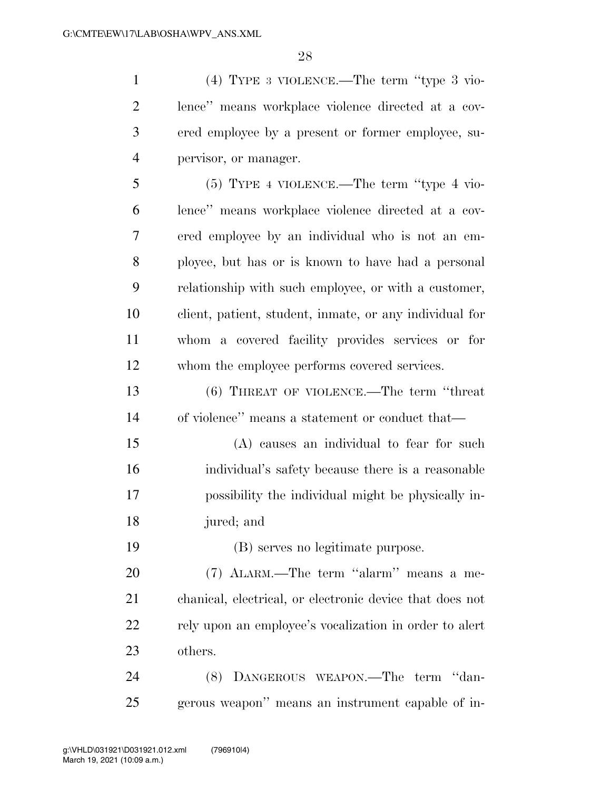(4) TYPE 3 VIOLENCE.—The term ''type 3 vio- lence'' means workplace violence directed at a cov- ered employee by a present or former employee, su- pervisor, or manager. (5) TYPE 4 VIOLENCE.—The term ''type 4 vio- lence'' means workplace violence directed at a cov- ered employee by an individual who is not an em- ployee, but has or is known to have had a personal relationship with such employee, or with a customer, client, patient, student, inmate, or any individual for whom a covered facility provides services or for whom the employee performs covered services. (6) THREAT OF VIOLENCE.—The term ''threat of violence'' means a statement or conduct that— (A) causes an individual to fear for such individual's safety because there is a reasonable possibility the individual might be physically in- jured; and (B) serves no legitimate purpose. 20 (7) ALARM.—The term "alarm" means a me- chanical, electrical, or electronic device that does not rely upon an employee's vocalization in order to alert others. (8) DANGEROUS WEAPON.—The term ''dan-gerous weapon'' means an instrument capable of in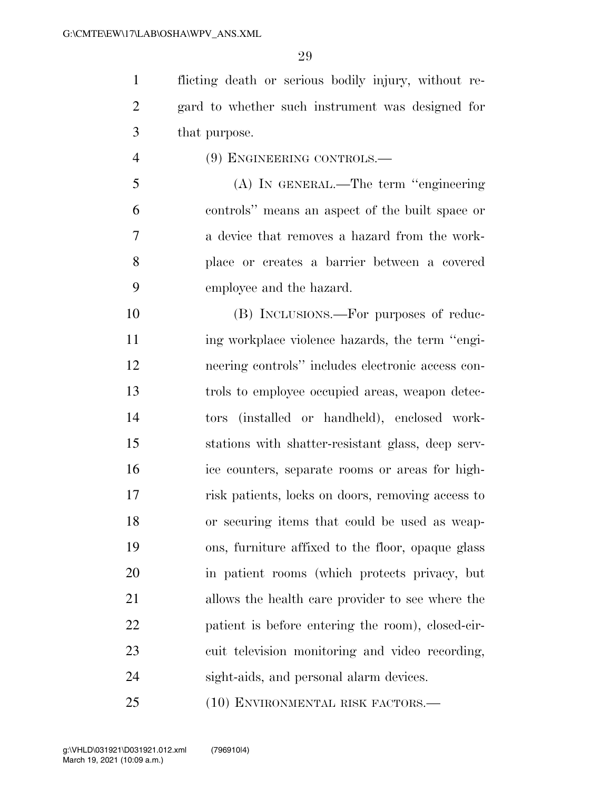flicting death or serious bodily injury, without re- gard to whether such instrument was designed for that purpose.

(9) ENGINEERING CONTROLS.—

 (A) IN GENERAL.—The term ''engineering controls'' means an aspect of the built space or a device that removes a hazard from the work- place or creates a barrier between a covered employee and the hazard.

 (B) INCLUSIONS.—For purposes of reduc- ing workplace violence hazards, the term ''engi- neering controls'' includes electronic access con- trols to employee occupied areas, weapon detec- tors (installed or handheld), enclosed work- stations with shatter-resistant glass, deep serv- ice counters, separate rooms or areas for high- risk patients, locks on doors, removing access to or securing items that could be used as weap- ons, furniture affixed to the floor, opaque glass in patient rooms (which protects privacy, but allows the health care provider to see where the patient is before entering the room), closed-cir- cuit television monitoring and video recording, sight-aids, and personal alarm devices.

(10) ENVIRONMENTAL RISK FACTORS.—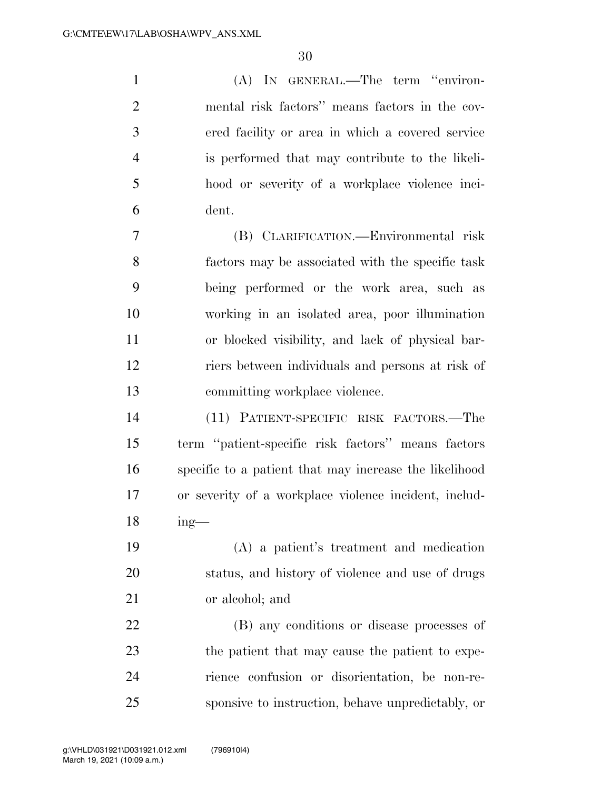(A) IN GENERAL.—The term ''environ- mental risk factors'' means factors in the cov- ered facility or area in which a covered service is performed that may contribute to the likeli- hood or severity of a workplace violence inci- dent. (B) CLARIFICATION.—Environmental risk factors may be associated with the specific task being performed or the work area, such as working in an isolated area, poor illumination or blocked visibility, and lack of physical bar-

 riers between individuals and persons at risk of committing workplace violence.

 (11) PATIENT-SPECIFIC RISK FACTORS.—The term ''patient-specific risk factors'' means factors specific to a patient that may increase the likelihood or severity of a workplace violence incident, includ-ing—

 (A) a patient's treatment and medication status, and history of violence and use of drugs or alcohol; and

 (B) any conditions or disease processes of the patient that may cause the patient to expe- rience confusion or disorientation, be non-re-sponsive to instruction, behave unpredictably, or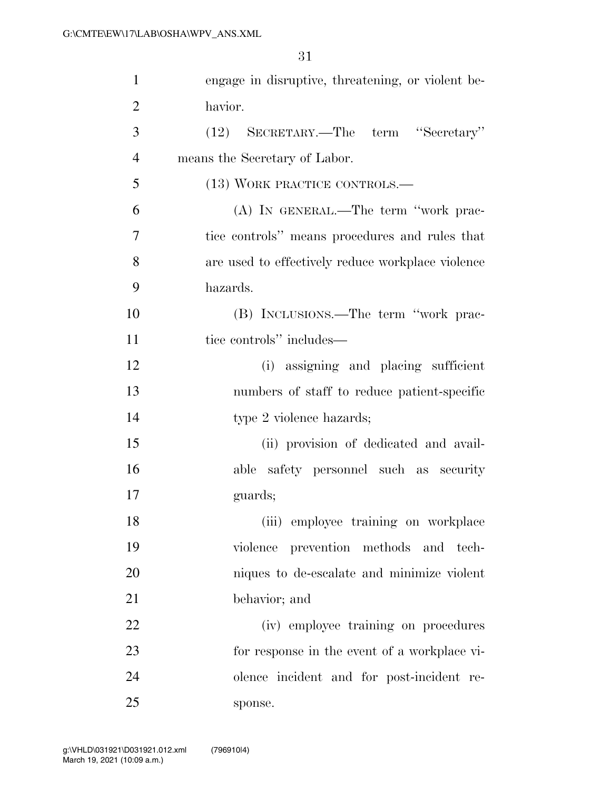| 1              | engage in disruptive, threatening, or violent be- |
|----------------|---------------------------------------------------|
| $\overline{2}$ | havior.                                           |
| 3              | (12) SECRETARY.—The term "Secretary"              |
| $\overline{4}$ | means the Secretary of Labor.                     |
| 5              | (13) WORK PRACTICE CONTROLS.—                     |
| 6              | (A) IN GENERAL.—The term "work prac-              |
| $\overline{7}$ | tice controls" means procedures and rules that    |
| 8              | are used to effectively reduce workplace violence |
| 9              | hazards.                                          |
| 10             | (B) INCLUSIONS.—The term "work prac-              |
| 11             | tice controls" includes—                          |
| 12             | (i) assigning and placing sufficient              |
| 13             | numbers of staff to reduce patient-specific       |
| 14             | type 2 violence hazards;                          |
| 15             | (ii) provision of dedicated and avail-            |
| 16             | able safety personnel such as security            |
| 17             | guards;                                           |
| 18             | (iii) employee training on workplace              |
| 19             | violence prevention methods and tech-             |
| 20             | niques to de-escalate and minimize violent        |
| 21             | behavior; and                                     |
| 22             | (iv) employee training on procedures              |
| 23             | for response in the event of a workplace vi-      |
| 24             | olence incident and for post-incident re-         |
| 25             | sponse.                                           |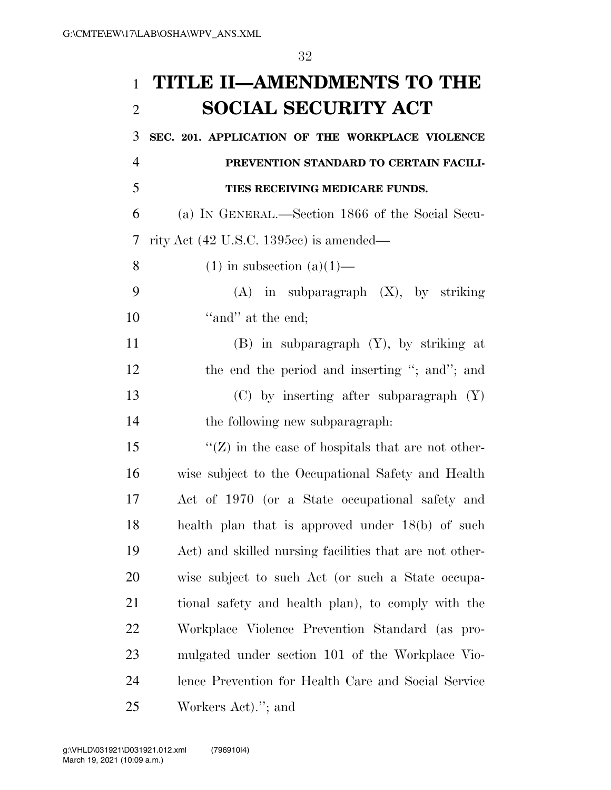## **TITLE II—AMENDMENTS TO THE SOCIAL SECURITY ACT**

 **SEC. 201. APPLICATION OF THE WORKPLACE VIOLENCE PREVENTION STANDARD TO CERTAIN FACILI- TIES RECEIVING MEDICARE FUNDS.**  (a) IN GENERAL.—Section 1866 of the Social Secu- rity Act (42 U.S.C. 1395cc) is amended— 8 (1) in subsection  $(a)(1)$ — (A) in subparagraph (X), by striking 10 'and' at the end; (B) in subparagraph (Y), by striking at 12 the end the period and inserting "; and"; and (C) by inserting after subparagraph (Y) the following new subparagraph:  $\langle G \rangle$  in the case of hospitals that are not other- wise subject to the Occupational Safety and Health Act of 1970 (or a State occupational safety and health plan that is approved under 18(b) of such Act) and skilled nursing facilities that are not other- wise subject to such Act (or such a State occupa- tional safety and health plan), to comply with the Workplace Violence Prevention Standard (as pro- mulgated under section 101 of the Workplace Vio- lence Prevention for Health Care and Social Service Workers Act).''; and